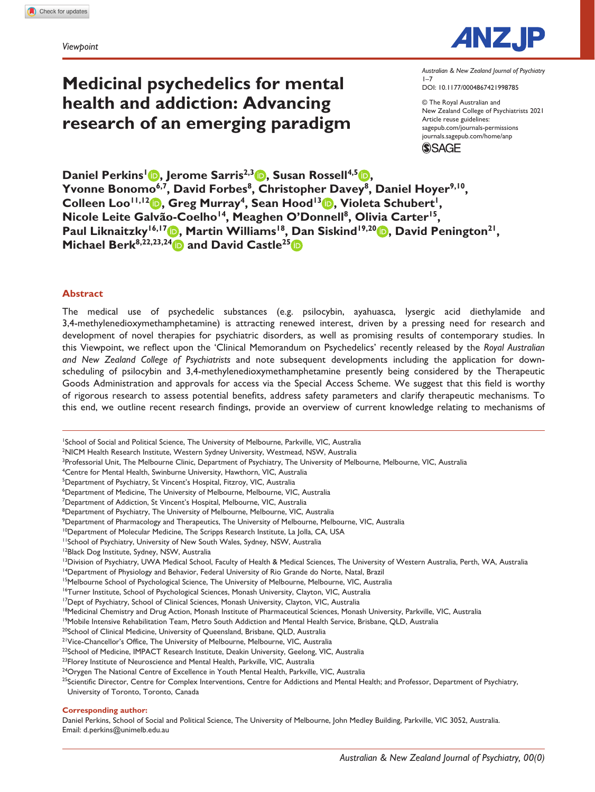*Viewpoint*

# **Medicinal psychedelics for mental health and addiction: Advancing research of an emerging paradigm**



DOI: 10.1177/0004867421998785 *Australian & New Zealand Journal of Psychiatry*  $1 - 7$ 

© The Royal Australian and New Zealand College of Psychiatrists 2021 Article reuse guidelines: [sagepub.com/journals-permissions](https://uk.sagepub.com/en-gb/journals-permissions) [journals.sagepub.com/home/anp](https://journals.sagepub.com/home/anp) **SSAGE** 

**Daniel Perkins<sup>1</sup> <b>b**, Jerome Sarris<sup>2,3</sup> **b**, Susan Rossell<sup>4,5</sup> **b**, Yvonne Bonomo<sup>6,7</sup>, David Forbes<sup>8</sup>, Christopher Davey<sup>8</sup>, Daniel Hoyer<sup>9,10</sup>, Colleen Loo<sup>11,12</sup> **b**, Greg Murray<sup>4</sup>, Sean Hood<sup>13</sup> **b**, Violeta Schubert<sup>1</sup>, Nicole Leite Galvão-Coelho<sup>14</sup>, Meaghen O'Donnell<sup>8</sup>, Olivia Carter<sup>15</sup>, Paul Liknaitzky<sup>16,17</sup> **b**, Martin Williams<sup>18</sup>, Dan Siskind<sup>19,20</sup> **b**, David Penington<sup>21</sup>, **Michael Berk**<sup>8,22,23,24</sup> and David Castle<sup>25</sup>

### **Abstract**

The medical use of psychedelic substances (e.g. psilocybin, ayahuasca, lysergic acid diethylamide and 3,4-methylenedioxymethamphetamine) is attracting renewed interest, driven by a pressing need for research and development of novel therapies for psychiatric disorders, as well as promising results of contemporary studies. In this Viewpoint, we reflect upon the 'Clinical Memorandum on Psychedelics' recently released by the *Royal Australian and New Zealand College of Psychiatrists* and note subsequent developments including the application for downscheduling of psilocybin and 3,4-methylenedioxymethamphetamine presently being considered by the Therapeutic Goods Administration and approvals for access via the Special Access Scheme. We suggest that this field is worthy of rigorous research to assess potential benefits, address safety parameters and clarify therapeutic mechanisms. To this end, we outline recent research findings, provide an overview of current knowledge relating to mechanisms of

<sup>7</sup>Department of Addiction, St Vincent's Hospital, Melbourne, VIC, Australia

<sup>10</sup>Department of Molecular Medicine, The Scripps Research Institute, La Jolla, CA, USA

#### **Corresponding author:**

Daniel Perkins, School of Social and Political Science, The University of Melbourne, John Medley Building, Parkville, VIC 3052, Australia. Email: [d.perkins@unimelb.edu.au](mailto:d.perkins@unimelb.edu.au)

<sup>1</sup> School of Social and Political Science, The University of Melbourne, Parkville, VIC, Australia

<sup>2</sup> NICM Health Research Institute, Western Sydney University, Westmead, NSW, Australia

<sup>&</sup>lt;sup>3</sup>Professorial Unit, The Melbourne Clinic, Department of Psychiatry, The University of Melbourne, Melbourne, VIC, Australia

<sup>4</sup> Centre for Mental Health, Swinburne University, Hawthorn, VIC, Australia

<sup>&</sup>lt;sup>5</sup>Department of Psychiatry, St Vincent's Hospital, Fitzroy, VIC, Australia

<sup>6</sup> Department of Medicine, The University of Melbourne, Melbourne, VIC, Australia

<sup>&</sup>lt;sup>8</sup>Department of Psychiatry, The University of Melbourne, Melbourne, VIC, Australia

<sup>9</sup> Department of Pharmacology and Therapeutics, The University of Melbourne, Melbourne, VIC, Australia

<sup>&</sup>lt;sup>11</sup>School of Psychiatry, University of New South Wales, Sydney, NSW, Australia

<sup>&</sup>lt;sup>12</sup>Black Dog Institute, Sydney, NSW, Australia

<sup>&</sup>lt;sup>13</sup>Division of Psychiatry, UWA Medical School, Faculty of Health & Medical Sciences, The University of Western Australia, Perth, WA, Australia

<sup>&</sup>lt;sup>14</sup>Department of Physiology and Behavior, Federal University of Rio Grande do Norte, Natal, Brazil

<sup>&</sup>lt;sup>15</sup>Melbourne School of Psychological Science, The University of Melbourne, Melbourne, VIC, Australia

<sup>&</sup>lt;sup>16</sup>Turner Institute, School of Psychological Sciences, Monash University, Clayton, VIC, Australia <sup>17</sup>Dept of Psychiatry, School of Clinical Sciences, Monash University, Clayton, VIC, Australia

<sup>&</sup>lt;sup>18</sup>Medicinal Chemistry and Drug Action, Monash Institute of Pharmaceutical Sciences, Monash University, Parkville, VIC, Australia

<sup>&</sup>lt;sup>19</sup>Mobile Intensive Rehabilitation Team, Metro South Addiction and Mental Health Service, Brisbane, QLD, Australia

<sup>&</sup>lt;sup>20</sup>School of Clinical Medicine, University of Queensland, Brisbane, QLD, Australia

<sup>&</sup>lt;sup>21</sup>Vice-Chancellor's Office, The University of Melbourne, Melbourne, VIC, Australia

<sup>&</sup>lt;sup>22</sup>School of Medicine, IMPACT Research Institute, Deakin University, Geelong, VIC, Australia

<sup>&</sup>lt;sup>23</sup>Florey Institute of Neuroscience and Mental Health, Parkville, VIC, Australia

<sup>&</sup>lt;sup>24</sup>Orygen The National Centre of Excellence in Youth Mental Health, Parkville, VIC, Australia

<sup>&</sup>lt;sup>25</sup>Scientific Director, Centre for Complex Interventions, Centre for Addictions and Mental Health; and Professor, Department of Psychiatry, University of Toronto, Toronto, Canada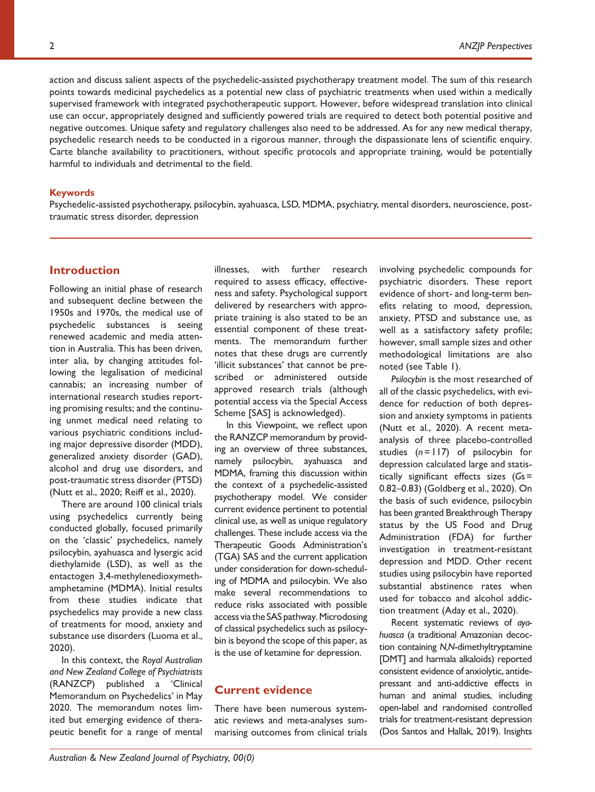action and discuss salient aspects of the psychedelic-assisted psychotherapy treatment model. The sum of this research points towards medicinal psychedelics as a potential new class of psychiatric treatments when used within a medically supervised framework with integrated psychotherapeutic support. However, before widespread translation into clinical use can occur, appropriately designed and sufficiently powered trials are required to detect both potential positive and negative outcomes. Unique safety and regulatory challenges also need to be addressed. As for any new medical therapy, psychedelic research needs to be conducted in a rigorous manner, through the dispassionate lens of scientific enquiry. Carte blanche availability to practitioners, without specific protocols and appropriate training, would be potentially harmful to individuals and detrimental to the field.

#### **Keywords**

Psychedelic-assisted psychotherapy, psilocybin, ayahuasca, LSD, MDMA, psychiatry, mental disorders, neuroscience, posttraumatic stress disorder, depression

# **Introduction**

Following an initial phase of research and subsequent decline between the 1950s and 1970s, the medical use of psychedelic substances is seeing renewed academic and media attention in Australia. This has been driven, inter alia, by changing attitudes following the legalisation of medicinal cannabis; an increasing number of international research studies reporting promising results; and the continuing unmet medical need relating to various psychiatric conditions including major depressive disorder (MDD), generalized anxiety disorder (GAD), alcohol and drug use disorders, and post-traumatic stress disorder (PTSD) (Nutt et al., 2020; Reiff et al., 2020).

There are around 100 clinical trials using psychedelics currently being conducted globally, focused primarily on the 'classic' psychedelics, namely psilocybin, ayahuasca and lysergic acid diethylamide (LSD), as well as the entactogen 3,4-methylenedioxymethamphetamine (MDMA). Initial results from these studies indicate that psychedelics may provide a new class of treatments for mood, anxiety and substance use disorders (Luoma et al., 2020).

In this context, the *Royal Australian and New Zealand College of Psychiatrists* (RANZCP) published a 'Clinical Memorandum on Psychedelics' in May 2020. The memorandum notes limited but emerging evidence of therapeutic benefit for a range of mental illnesses, with further research required to assess efficacy, effectiveness and safety. Psychological support delivered by researchers with appropriate training is also stated to be an essential component of these treatments. The memorandum further notes that these drugs are currently 'illicit substances' that cannot be prescribed or administered outside approved research trials (although potential access via the Special Access Scheme [SAS] is acknowledged).

In this Viewpoint, we reflect upon the RANZCP memorandum by providing an overview of three substances, namely psilocybin, ayahuasca and MDMA, framing this discussion within the context of a psychedelic-assisted psychotherapy model. We consider current evidence pertinent to potential clinical use, as well as unique regulatory challenges. These include access via the Therapeutic Goods Administration's (TGA) SAS and the current application under consideration for down-scheduling of MDMA and psilocybin. We also make several recommendations to reduce risks associated with possible access via the SAS pathway. Microdosing of classical psychedelics such as psilocybin is beyond the scope of this paper, as is the use of ketamine for depression.

# **Current evidence**

There have been numerous systematic reviews and meta-analyses summarising outcomes from clinical trials involving psychedelic compounds for psychiatric disorders. These report evidence of short- and long-term benefits relating to mood, depression, anxiety, PTSD and substance use, as well as a satisfactory safety profile; however, small sample sizes and other methodological limitations are also noted (see Table 1).

*Psilocybin* is the most researched of all of the classic psychedelics, with evidence for reduction of both depression and anxiety symptoms in patients (Nutt et al., 2020). A recent metaanalysis of three placebo-controlled studies (*n*=117) of psilocybin for depression calculated large and statistically significant effects sizes (*G*s= 0.82–0.83) (Goldberg et al., 2020). On the basis of such evidence, psilocybin has been granted Breakthrough Therapy status by the US Food and Drug Administration (FDA) for further investigation in treatment-resistant depression and MDD. Other recent studies using psilocybin have reported substantial abstinence rates when used for tobacco and alcohol addiction treatment (Aday et al., 2020).

Recent systematic reviews of *ayahuasca* (a traditional Amazonian decoction containing *N,N*-dimethyltryptamine [DMT] and harmala alkaloids) reported consistent evidence of anxiolytic, antidepressant and anti-addictive effects in human and animal studies, including open-label and randomised controlled trials for treatment-resistant depression (Dos Santos and Hallak, 2019). Insights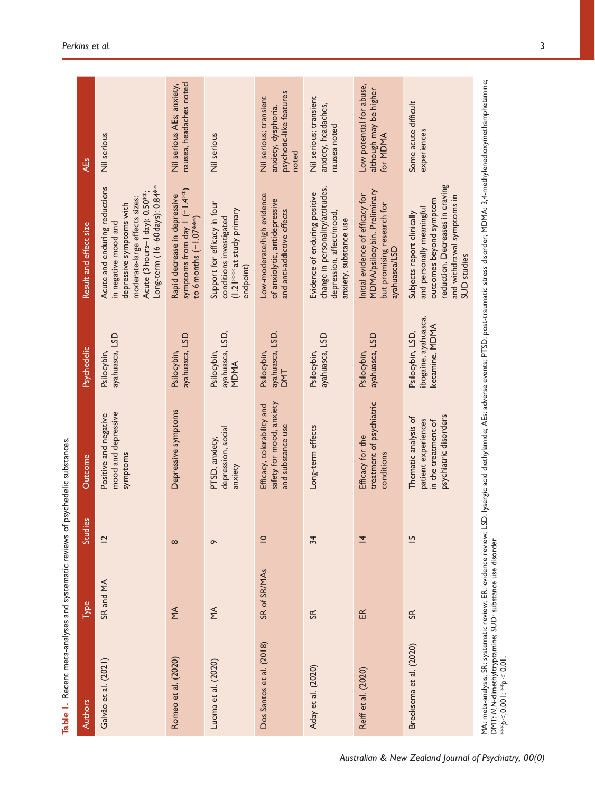| Authors                                                                                        | Type           | 3<br>Studie    | Outcome                                                                                     | <b>Psychedelic</b>                                         | Result and effect size                                                                                                                                                                              | <b>AEs</b>                                                                        |
|------------------------------------------------------------------------------------------------|----------------|----------------|---------------------------------------------------------------------------------------------|------------------------------------------------------------|-----------------------------------------------------------------------------------------------------------------------------------------------------------------------------------------------------|-----------------------------------------------------------------------------------|
| Galvão et al. (2021)                                                                           | SR and MA      | $\overline{2}$ | mood and depressive<br>Positive and negative<br>symptoms                                    | ayahuasca, LSD<br>Psilocybin,                              | Long-term (16-60 days): 0.84 <sup>**</sup><br>Acute and enduring reductions<br>Acute (3 hours-1 day): 0.50**;<br>moderate-large effects sizes:<br>depressive symptoms with<br>in negative mood and  | Nil serious                                                                       |
| Romeo et al. (2020)                                                                            | $\leq$         | $\infty$       | Depressive symptoms                                                                         | ayahuasca, LSD<br>Psilocybin,                              | symptoms from day $1(-1.4***)$<br>Rapid decrease in depressive<br>to 6 months (-1.07***)                                                                                                            | nausea, headaches noted<br>Nil serious AEs; anxiety,                              |
| Luoma et al. (2020)                                                                            | ΥŔ             | $\sigma$       | depression, social<br>PTSD, anxiety,<br>anxiety                                             | ayahuasca, LSD,<br>Psilocybin,<br>MDMA                     | Support for efficacy in four<br>(1.21 *** at study primary<br>conditions investigated<br>endpoint)                                                                                                  | Nil serious                                                                       |
| Dos Santos et al. (2018)                                                                       | SR of SR/MAs   | $\subseteq$    | safety for mood, anxiety<br>Efficacy, tolerability and<br>and substance use                 | ayahuasca, LSD,<br>Psilocybin,<br><b>DMT</b>               | Low-moderate/high evidence<br>of anxiolytic, antidepressive<br>and anti-addictive effects                                                                                                           | psychotic-like features<br>Nil serious; transient<br>anxiety, dysphoria,<br>noted |
| Aday et al. (2020)                                                                             | S <sub>R</sub> | 34             | Long-term effects                                                                           | ayahuasca, LSD<br>Psilocybin,                              | change in personality/attitudes,<br>Evidence of enduring positive<br>depression, affect/mood,<br>anxiety, substance use                                                                             | Nil serious; transient<br>anxiety, headaches,<br>nausea noted                     |
| Reiff et al. (2020)                                                                            | 氐              | $\overline{4}$ | treatment of psychiatric<br>Efficacy for the<br>conditions                                  | ayahuasca, LSD<br>Psilocybin,                              | MDMA/psilocybin. Preliminary<br>Initial evidence of efficacy for<br>but promising research for<br>ayahuasca/LSD                                                                                     | Low potential for abuse,<br>although may be higher<br>for MDMA                    |
| Breeksema et al. (2020)                                                                        | S <sub>K</sub> | $\overline{5}$ | psychiatric disorders<br>Thematic analysis of<br>patient experiences<br>in the treatment of | ibogaine, ayahuasca,<br>ketamine, MDMA<br>Psilocybin, LSD, | reduction. Decreases in craving<br>and withdrawal symptoms in<br>outcomes beyond symptom<br>and personally meaningful<br>Subjects report clinically<br>SUD studies                                  | Some acute difficult<br>experiences                                               |
| DMT: N,N-dimethyltryptamine; SUD: substance use disorder.<br>*** $p < 0.00$  ; ** $p < 0.01$ . |                |                |                                                                                             |                                                            | MA: meta-analysis; SR: systematic review; ER: evidence review; LSD: lysergic acid diethylamide; AEs: adverse events; PTSD: post-traumatic stress disorder; MDMA: 3,4-methylenedioxymethamphetamine; |                                                                                   |

Table 1. Recent meta-analyses and systematic reviews of psychedelic substances. **Table 1.** Recent meta-analyses and systematic reviews of psychedelic substances.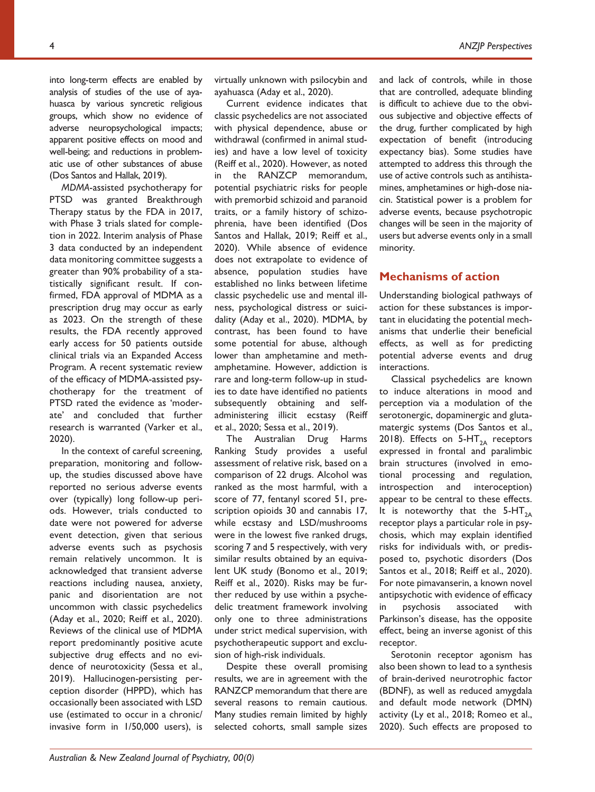into long-term effects are enabled by analysis of studies of the use of ayahuasca by various syncretic religious groups, which show no evidence of adverse neuropsychological impacts; apparent positive effects on mood and well-being; and reductions in problematic use of other substances of abuse (Dos Santos and Hallak, 2019).

*MDMA*-assisted psychotherapy for PTSD was granted Breakthrough Therapy status by the FDA in 2017, with Phase 3 trials slated for completion in 2022. Interim analysis of Phase 3 data conducted by an independent data monitoring committee suggests a greater than 90% probability of a statistically significant result. If confirmed, FDA approval of MDMA as a prescription drug may occur as early as 2023. On the strength of these results, the FDA recently approved early access for 50 patients outside clinical trials via an Expanded Access Program. A recent systematic review of the efficacy of MDMA-assisted psychotherapy for the treatment of PTSD rated the evidence as 'moderate' and concluded that further research is warranted (Varker et al., 2020).

In the context of careful screening, preparation, monitoring and followup, the studies discussed above have reported no serious adverse events over (typically) long follow-up periods. However, trials conducted to date were not powered for adverse event detection, given that serious adverse events such as psychosis remain relatively uncommon. It is acknowledged that transient adverse reactions including nausea, anxiety, panic and disorientation are not uncommon with classic psychedelics (Aday et al., 2020; Reiff et al., 2020). Reviews of the clinical use of MDMA report predominantly positive acute subjective drug effects and no evidence of neurotoxicity (Sessa et al., 2019). Hallucinogen-persisting perception disorder (HPPD), which has occasionally been associated with LSD use (estimated to occur in a chronic/ invasive form in 1/50,000 users), is

Current evidence indicates that classic psychedelics are not associated with physical dependence, abuse or withdrawal (confirmed in animal studies) and have a low level of toxicity (Reiff et al., 2020). However, as noted in the RANZCP memorandum, potential psychiatric risks for people with premorbid schizoid and paranoid traits, or a family history of schizophrenia, have been identified (Dos Santos and Hallak, 2019; Reiff et al., 2020). While absence of evidence does not extrapolate to evidence of absence, population studies have established no links between lifetime classic psychedelic use and mental ill-

ayahuasca (Aday et al., 2020).

ness, psychological distress or suicidality (Aday et al., 2020). MDMA, by contrast, has been found to have some potential for abuse, although lower than amphetamine and methamphetamine. However, addiction is rare and long-term follow-up in studies to date have identified no patients subsequently obtaining and selfadministering illicit ecstasy (Reiff et al., 2020; Sessa et al., 2019).

The Australian Drug Harms Ranking Study provides a useful assessment of relative risk, based on a comparison of 22 drugs. Alcohol was ranked as the most harmful, with a score of 77, fentanyl scored 51, prescription opioids 30 and cannabis 17, while ecstasy and LSD/mushrooms were in the lowest five ranked drugs, scoring 7 and 5 respectively, with very similar results obtained by an equivalent UK study (Bonomo et al., 2019; Reiff et al., 2020). Risks may be further reduced by use within a psychedelic treatment framework involving only one to three administrations under strict medical supervision, with psychotherapeutic support and exclusion of high-risk individuals.

Despite these overall promising results, we are in agreement with the RANZCP memorandum that there are several reasons to remain cautious. Many studies remain limited by highly selected cohorts, small sample sizes

and lack of controls, while in those that are controlled, adequate blinding is difficult to achieve due to the obvious subjective and objective effects of the drug, further complicated by high expectation of benefit (introducing expectancy bias). Some studies have attempted to address this through the use of active controls such as antihistamines, amphetamines or high-dose niacin. Statistical power is a problem for adverse events, because psychotropic changes will be seen in the majority of users but adverse events only in a small minority.

### **Mechanisms of action**

Understanding biological pathways of action for these substances is important in elucidating the potential mechanisms that underlie their beneficial effects, as well as for predicting potential adverse events and drug interactions.

Classical psychedelics are known to induce alterations in mood and perception via a modulation of the serotonergic, dopaminergic and glutamatergic systems (Dos Santos et al., 2018). Effects on  $5-HT_{2A}$  receptors expressed in frontal and paralimbic brain structures (involved in emotional processing and regulation, introspection and interoception) appear to be central to these effects. It is noteworthy that the  $5-HT_{2A}$ receptor plays a particular role in psychosis, which may explain identified risks for individuals with, or predisposed to, psychotic disorders (Dos Santos et al., 2018; Reiff et al., 2020). For note pimavanserin, a known novel antipsychotic with evidence of efficacy in psychosis associated with Parkinson's disease, has the opposite effect, being an inverse agonist of this receptor.

Serotonin receptor agonism has also been shown to lead to a synthesis of brain-derived neurotrophic factor (BDNF), as well as reduced amygdala and default mode network (DMN) activity (Ly et al., 2018; Romeo et al., 2020). Such effects are proposed to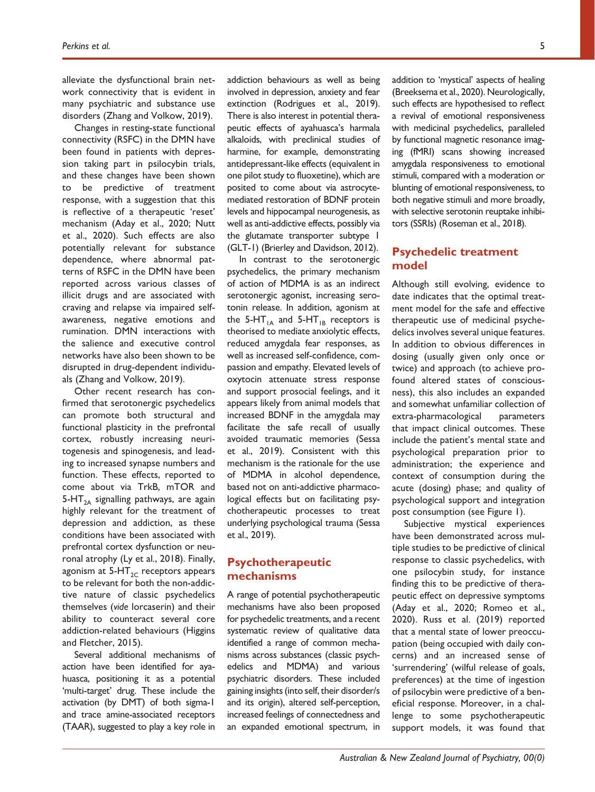alleviate the dysfunctional brain network connectivity that is evident in many psychiatric and substance use disorders (Zhang and Volkow, 2019).

Changes in resting-state functional connectivity (RSFC) in the DMN have been found in patients with depression taking part in psilocybin trials, and these changes have been shown to be predictive of treatment response, with a suggestion that this is reflective of a therapeutic 'reset' mechanism (Aday et al., 2020; Nutt et al., 2020). Such effects are also potentially relevant for substance dependence, where abnormal patterns of RSFC in the DMN have been reported across various classes of illicit drugs and are associated with craving and relapse via impaired selfawareness, negative emotions and rumination. DMN interactions with the salience and executive control networks have also been shown to be disrupted in drug-dependent individuals (Zhang and Volkow, 2019).

Other recent research has confirmed that serotonergic psychedelics can promote both structural and functional plasticity in the prefrontal cortex, robustly increasing neuritogenesis and spinogenesis, and leading to increased synapse numbers and function. These effects, reported to come about via TrkB, mTOR and 5-HT<sub>2A</sub> signalling pathways, are again highly relevant for the treatment of depression and addiction, as these conditions have been associated with prefrontal cortex dysfunction or neuronal atrophy (Ly et al., 2018). Finally, agonism at  $5-HT_{2C}$  receptors appears to be relevant for both the non-addictive nature of classic psychedelics themselves (*vide* lorcaserin) and their ability to counteract several core addiction-related behaviours (Higgins and Fletcher, 2015).

Several additional mechanisms of action have been identified for ayahuasca, positioning it as a potential 'multi-target' drug. These include the activation (by DMT) of both sigma-1 and trace amine-associated receptors (TAAR), suggested to play a key role in

addiction behaviours as well as being involved in depression, anxiety and fear extinction (Rodrigues et al., 2019). There is also interest in potential therapeutic effects of ayahuasca's harmala alkaloids, with preclinical studies of harmine, for example, demonstrating antidepressant-like effects (equivalent in one pilot study to fluoxetine), which are posited to come about via astrocytemediated restoration of BDNF protein levels and hippocampal neurogenesis, as well as anti-addictive effects, possibly via the glutamate transporter subtype 1 (GLT-1) (Brierley and Davidson, 2012).

In contrast to the serotonergic psychedelics, the primary mechanism of action of MDMA is as an indirect serotonergic agonist, increasing serotonin release. In addition, agonism at the 5-HT<sub>1A</sub> and 5-HT<sub>1B</sub> receptors is theorised to mediate anxiolytic effects, reduced amygdala fear responses, as well as increased self-confidence, compassion and empathy. Elevated levels of oxytocin attenuate stress response and support prosocial feelings, and it appears likely from animal models that increased BDNF in the amygdala may facilitate the safe recall of usually avoided traumatic memories (Sessa et al., 2019). Consistent with this mechanism is the rationale for the use of MDMA in alcohol dependence, based not on anti-addictive pharmacological effects but on facilitating psychotherapeutic processes to treat underlying psychological trauma (Sessa et al., 2019).

## **Psychotherapeutic mechanisms**

A range of potential psychotherapeutic mechanisms have also been proposed for psychedelic treatments, and a recent systematic review of qualitative data identified a range of common mechanisms across substances (classic psychedelics and MDMA) and various psychiatric disorders. These included gaining insights (into self, their disorder/s and its origin), altered self-perception, increased feelings of connectedness and an expanded emotional spectrum, in

addition to 'mystical' aspects of healing (Breeksema et al., 2020). Neurologically, such effects are hypothesised to reflect a revival of emotional responsiveness with medicinal psychedelics, paralleled by functional magnetic resonance imaging (fMRI) scans showing increased amygdala responsiveness to emotional stimuli, compared with a moderation or blunting of emotional responsiveness, to both negative stimuli and more broadly, with selective serotonin reuptake inhibitors (SSRIs) (Roseman et al., 2018).

# **Psychedelic treatment model**

Although still evolving, evidence to date indicates that the optimal treatment model for the safe and effective therapeutic use of medicinal psychedelics involves several unique features. In addition to obvious differences in dosing (usually given only once or twice) and approach (to achieve profound altered states of consciousness), this also includes an expanded and somewhat unfamiliar collection of extra-pharmacological parameters that impact clinical outcomes. These include the patient's mental state and psychological preparation prior to administration; the experience and context of consumption during the acute (dosing) phase; and quality of psychological support and integration post consumption (see Figure 1).

Subjective mystical experiences have been demonstrated across multiple studies to be predictive of clinical response to classic psychedelics, with one psilocybin study, for instance finding this to be predictive of therapeutic effect on depressive symptoms (Aday et al., 2020; Romeo et al., 2020). Russ et al. (2019) reported that a mental state of lower preoccupation (being occupied with daily concerns) and an increased sense of 'surrendering' (wilful release of goals, preferences) at the time of ingestion of psilocybin were predictive of a beneficial response. Moreover, in a challenge to some psychotherapeutic support models, it was found that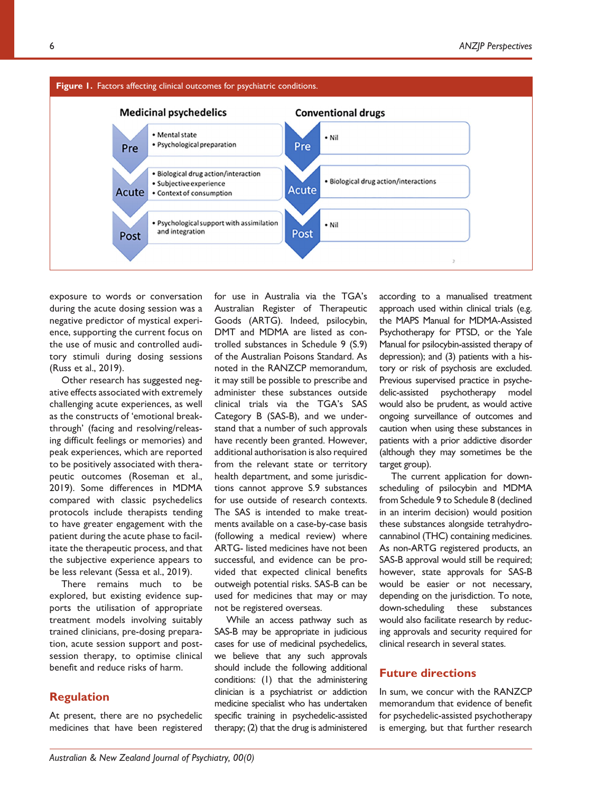

exposure to words or conversation during the acute dosing session was a negative predictor of mystical experience, supporting the current focus on the use of music and controlled auditory stimuli during dosing sessions (Russ et al., 2019).

Other research has suggested negative effects associated with extremely challenging acute experiences, as well as the constructs of 'emotional breakthrough' (facing and resolving/releasing difficult feelings or memories) and peak experiences, which are reported to be positively associated with therapeutic outcomes (Roseman et al., 2019). Some differences in MDMA compared with classic psychedelics protocols include therapists tending to have greater engagement with the patient during the acute phase to facilitate the therapeutic process, and that the subjective experience appears to be less relevant (Sessa et al., 2019).

There remains much to be explored, but existing evidence supports the utilisation of appropriate treatment models involving suitably trained clinicians, pre-dosing preparation, acute session support and postsession therapy, to optimise clinical benefit and reduce risks of harm.

# **Regulation**

At present, there are no psychedelic medicines that have been registered

for use in Australia via the TGA's Australian Register of Therapeutic Goods (ARTG). Indeed, psilocybin, DMT and MDMA are listed as controlled substances in Schedule 9 (S.9) of the Australian Poisons Standard. As noted in the RANZCP memorandum, it may still be possible to prescribe and administer these substances outside clinical trials via the TGA's SAS Category B (SAS-B), and we understand that a number of such approvals have recently been granted. However, additional authorisation is also required from the relevant state or territory health department, and some jurisdictions cannot approve S.9 substances for use outside of research contexts. The SAS is intended to make treatments available on a case-by-case basis (following a medical review) where ARTG- listed medicines have not been successful, and evidence can be provided that expected clinical benefits outweigh potential risks. SAS-B can be used for medicines that may or may not be registered overseas.

While an access pathway such as SAS-B may be appropriate in judicious cases for use of medicinal psychedelics, we believe that any such approvals should include the following additional conditions: (1) that the administering clinician is a psychiatrist or addiction medicine specialist who has undertaken specific training in psychedelic-assisted therapy; (2) that the drug is administered according to a manualised treatment approach used within clinical trials (e.g. the MAPS Manual for MDMA-Assisted Psychotherapy for PTSD, or the Yale Manual for psilocybin-assisted therapy of depression); and (3) patients with a history or risk of psychosis are excluded. Previous supervised practice in psychedelic-assisted psychotherapy model would also be prudent, as would active ongoing surveillance of outcomes and caution when using these substances in patients with a prior addictive disorder (although they may sometimes be the target group).

The current application for downscheduling of psilocybin and MDMA from Schedule 9 to Schedule 8 (declined in an interim decision) would position these substances alongside tetrahydrocannabinol (THC) containing medicines. As non-ARTG registered products, an SAS-B approval would still be required; however, state approvals for SAS-B would be easier or not necessary, depending on the jurisdiction. To note, down-scheduling these substances would also facilitate research by reducing approvals and security required for clinical research in several states.

### **Future directions**

In sum, we concur with the RANZCP memorandum that evidence of benefit for psychedelic-assisted psychotherapy is emerging, but that further research